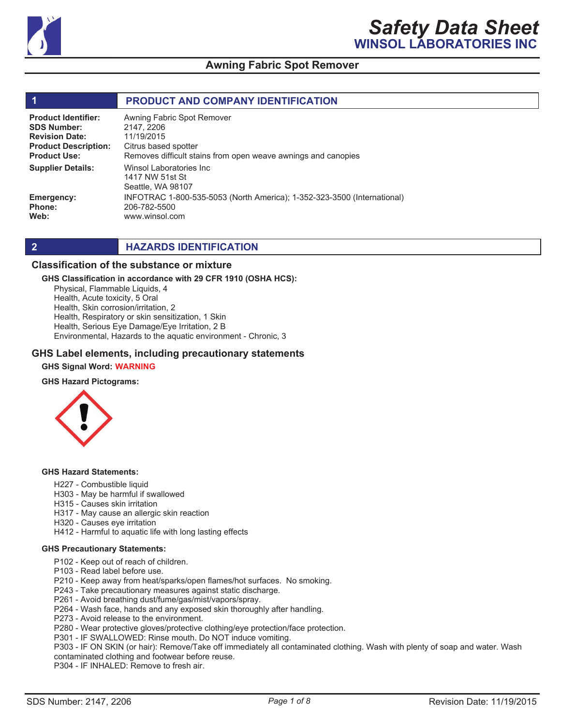

#### **1 PRODUCT AND COMPANY IDENTIFICATION** Winsol Laboratories Inc 1417 NW 51st St Seattle, WA 98107 INFOTRAC 1-800-535-5053 (North America); 1-352-323-3500 (International) 206-782-5500 www.winsol.com Awning Fabric Spot Remover 2147, 2206 11/19/2015 Citrus based spotter Removes difficult stains from open weave awnings and canopies **Product Identifier: SDS Number: Revision Date: Product Description: Product Use: Emergency: Phone: Web: Supplier Details:**

## **2 HAZARDS IDENTIFICATION**

#### **Classification of the substance or mixture**

#### **GHS Classification in accordance with 29 CFR 1910 (OSHA HCS):**

Physical, Flammable Liquids, 4 Health, Acute toxicity, 5 Oral

Health, Skin corrosion/irritation, 2

Health, Respiratory or skin sensitization, 1 Skin

Health, Serious Eye Damage/Eye Irritation, 2 B

Environmental, Hazards to the aquatic environment - Chronic, 3

#### **GHS Label elements, including precautionary statements**

**GHS Signal Word: WARNING**

#### **GHS Hazard Pictograms:**



#### **GHS Hazard Statements:**

- H227 Combustible liquid
- H303 May be harmful if swallowed
- H315 Causes skin irritation
- H317 May cause an allergic skin reaction
- H320 Causes eye irritation
- H412 Harmful to aquatic life with long lasting effects

#### **GHS Precautionary Statements:**

- P102 Keep out of reach of children.
- P103 Read label before use.
- P210 Keep away from heat/sparks/open flames/hot surfaces. No smoking.
- P243 Take precautionary measures against static discharge.
- P261 Avoid breathing dust/fume/gas/mist/vapors/spray.
- P264 Wash face, hands and any exposed skin thoroughly after handling.
- P273 Avoid release to the environment.
- P280 Wear protective gloves/protective clothing/eye protection/face protection.
- P301 IF SWALLOWED: Rinse mouth. Do NOT induce vomiting.

P303 - IF ON SKIN (or hair): Remove/Take off immediately all contaminated clothing. Wash with plenty of soap and water. Wash contaminated clothing and footwear before reuse.

P304 - IF INHALED: Remove to fresh air.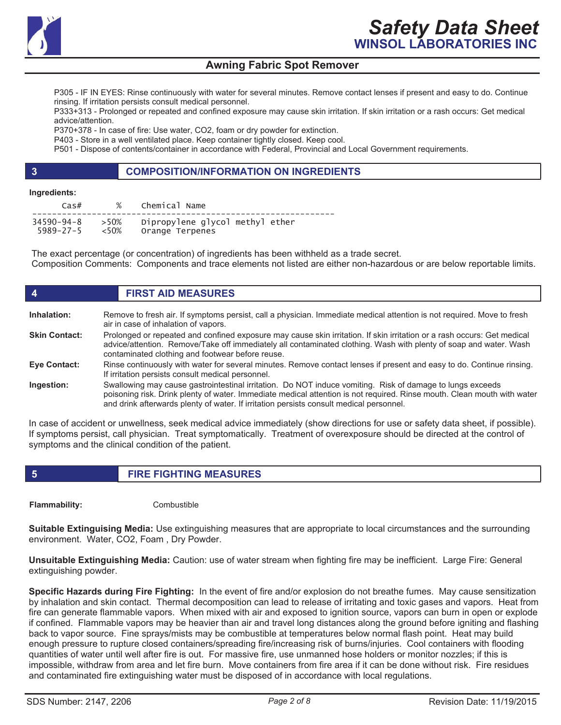

P305 - IF IN EYES: Rinse continuously with water for several minutes. Remove contact lenses if present and easy to do. Continue rinsing. If irritation persists consult medical personnel.

P333+313 - Prolonged or repeated and confined exposure may cause skin irritation. If skin irritation or a rash occurs: Get medical advice/attention.

P370+378 - In case of fire: Use water, CO2, foam or dry powder for extinction.

P403 - Store in a well ventilated place. Keep container tightly closed. Keep cool.

P501 - Dispose of contents/container in accordance with Federal, Provincial and Local Government requirements.

# **3 COMPOSITION/INFORMATION ON INGREDIENTS**

#### **Ingredients:**

| $\cos#$         | $\%$     | Chemical Name                   |
|-----------------|----------|---------------------------------|
| 34590-94-8      | >50%     | Dipropylene glycol methyl ether |
| $5989 - 27 - 5$ | $~<$ 50% | Orange Terpenes                 |

The exact percentage (or concentration) of ingredients has been withheld as a trade secret. Composition Comments: Components and trace elements not listed are either non-hazardous or are below reportable limits.

| $\boldsymbol{4}$     | <b>FIRST AID MEASURES</b>                                                                                                                                                                                                                                                                                                       |
|----------------------|---------------------------------------------------------------------------------------------------------------------------------------------------------------------------------------------------------------------------------------------------------------------------------------------------------------------------------|
| Inhalation:          | Remove to fresh air. If symptoms persist, call a physician. Immediate medical attention is not required. Move to fresh<br>air in case of inhalation of vapors.                                                                                                                                                                  |
| <b>Skin Contact:</b> | Prolonged or repeated and confined exposure may cause skin irritation. If skin irritation or a rash occurs: Get medical<br>advice/attention. Remove/Take off immediately all contaminated clothing. Wash with plenty of soap and water. Wash<br>contaminated clothing and footwear before reuse.                                |
| <b>Eye Contact:</b>  | Rinse continuously with water for several minutes. Remove contact lenses if present and easy to do. Continue rinsing.<br>If irritation persists consult medical personnel.                                                                                                                                                      |
| Ingestion:           | Swallowing may cause gastrointestinal irritation. Do NOT induce vomiting. Risk of damage to lungs exceeds<br>poisoning risk. Drink plenty of water. Immediate medical attention is not required. Rinse mouth. Clean mouth with water<br>and drink afterwards plenty of water. If irritation persists consult medical personnel. |

In case of accident or unwellness, seek medical advice immediately (show directions for use or safety data sheet, if possible). If symptoms persist, call physician. Treat symptomatically. Treatment of overexposure should be directed at the control of symptoms and the clinical condition of the patient.

**5 FIRE FIGHTING MEASURES**

**Flammability:** Combustible

**Suitable Extinguising Media:** Use extinguishing measures that are appropriate to local circumstances and the surrounding environment. Water, CO2, Foam , Dry Powder.

**Unsuitable Extinguishing Media:** Caution: use of water stream when fighting fire may be inefficient. Large Fire: General extinguishing powder.

**Specific Hazards during Fire Fighting:** In the event of fire and/or explosion do not breathe fumes. May cause sensitization by inhalation and skin contact. Thermal decomposition can lead to release of irritating and toxic gases and vapors. Heat from fire can generate flammable vapors. When mixed with air and exposed to ignition source, vapors can burn in open or explode if confined. Flammable vapors may be heavier than air and travel long distances along the ground before igniting and flashing back to vapor source. Fine sprays/mists may be combustible at temperatures below normal flash point. Heat may build enough pressure to rupture closed containers/spreading fire/increasing risk of burns/injuries. Cool containers with flooding quantities of water until well after fire is out. For massive fire, use unmanned hose holders or monitor nozzles; if this is impossible, withdraw from area and let fire burn. Move containers from fire area if it can be done without risk. Fire residues and contaminated fire extinguishing water must be disposed of in accordance with local regulations.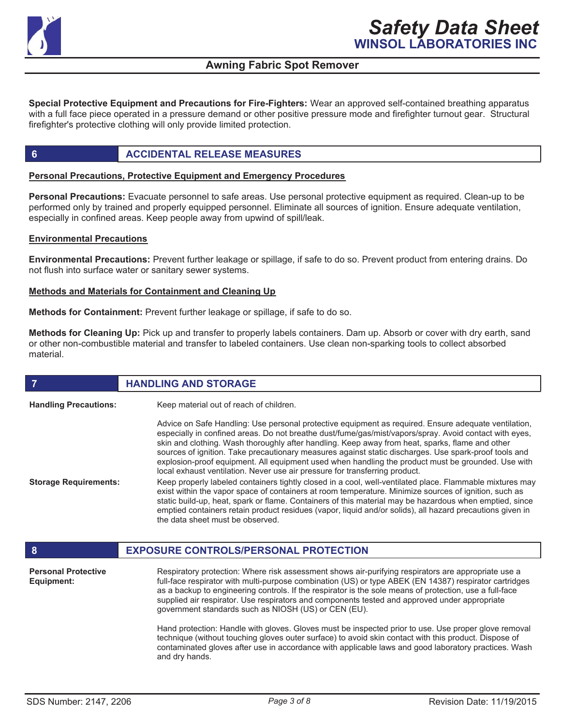

**Special Protective Equipment and Precautions for Fire-Fighters:** Wear an approved self-contained breathing apparatus with a full face piece operated in a pressure demand or other positive pressure mode and firefighter turnout gear. Structural firefighter's protective clothing will only provide limited protection.

# **6 ACCIDENTAL RELEASE MEASURES**

## **Personal Precautions, Protective Equipment and Emergency Procedures**

**Personal Precautions:** Evacuate personnel to safe areas. Use personal protective equipment as required. Clean-up to be performed only by trained and properly equipped personnel. Eliminate all sources of ignition. Ensure adequate ventilation, especially in confined areas. Keep people away from upwind of spill/leak.

#### **Environmental Precautions**

**Environmental Precautions:** Prevent further leakage or spillage, if safe to do so. Prevent product from entering drains. Do not flush into surface water or sanitary sewer systems.

#### **Methods and Materials for Containment and Cleaning Up**

**Methods for Containment:** Prevent further leakage or spillage, if safe to do so.

**Methods for Cleaning Up:** Pick up and transfer to properly labels containers. Dam up. Absorb or cover with dry earth, sand or other non-combustible material and transfer to labeled containers. Use clean non-sparking tools to collect absorbed material.

| 7                                        | <b>HANDLING AND STORAGE</b>                                                                                                                                                                                                                                                                                                                                                                                                                                                                                                                                                                                                                                                                                                                                                                                                                                                                                                                                                                                                                                                                      |  |
|------------------------------------------|--------------------------------------------------------------------------------------------------------------------------------------------------------------------------------------------------------------------------------------------------------------------------------------------------------------------------------------------------------------------------------------------------------------------------------------------------------------------------------------------------------------------------------------------------------------------------------------------------------------------------------------------------------------------------------------------------------------------------------------------------------------------------------------------------------------------------------------------------------------------------------------------------------------------------------------------------------------------------------------------------------------------------------------------------------------------------------------------------|--|
| <b>Handling Precautions:</b>             | Keep material out of reach of children.                                                                                                                                                                                                                                                                                                                                                                                                                                                                                                                                                                                                                                                                                                                                                                                                                                                                                                                                                                                                                                                          |  |
| <b>Storage Requirements:</b>             | Advice on Safe Handling: Use personal protective equipment as required. Ensure adequate ventilation,<br>especially in confined areas. Do not breathe dust/fume/gas/mist/vapors/spray. Avoid contact with eyes,<br>skin and clothing. Wash thoroughly after handling. Keep away from heat, sparks, flame and other<br>sources of ignition. Take precautionary measures against static discharges. Use spark-proof tools and<br>explosion-proof equipment. All equipment used when handling the product must be grounded. Use with<br>local exhaust ventilation. Never use air pressure for transferring product.<br>Keep properly labeled containers tightly closed in a cool, well-ventilated place. Flammable mixtures may<br>exist within the vapor space of containers at room temperature. Minimize sources of ignition, such as<br>static build-up, heat, spark or flame. Containers of this material may be hazardous when emptied, since<br>emptied containers retain product residues (vapor, liquid and/or solids), all hazard precautions given in<br>the data sheet must be observed. |  |
| 8                                        | <b>EXPOSURE CONTROLS/PERSONAL PROTECTION</b>                                                                                                                                                                                                                                                                                                                                                                                                                                                                                                                                                                                                                                                                                                                                                                                                                                                                                                                                                                                                                                                     |  |
| <b>Personal Protective</b><br>Equipment: | Respiratory protection: Where risk assessment shows air-purifying respirators are appropriate use a<br>full-face respirator with multi-purpose combination (US) or type ABEK (EN 14387) respirator cartridges<br>as a backup to engineering controls. If the respirator is the sole means of protection, use a full-face<br>supplied air respirator. Use respirators and components tested and approved under appropriate<br>government standards such as NIOSH (US) or CEN (EU).                                                                                                                                                                                                                                                                                                                                                                                                                                                                                                                                                                                                                |  |
|                                          | Hand protection: Handle with gloves. Gloves must be inspected prior to use. Use proper glove removal<br>technique (without touching gloves outer surface) to avoid skin contact with this product. Dispose of<br>contaminated gloves after use in accordance with applicable laws and good laboratory practices. Wash<br>and dry hands.                                                                                                                                                                                                                                                                                                                                                                                                                                                                                                                                                                                                                                                                                                                                                          |  |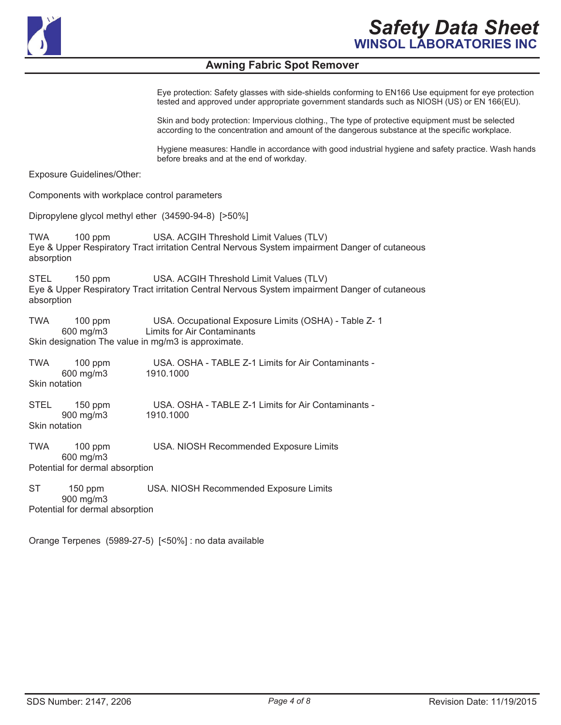

Eye protection: Safety glasses with side-shields conforming to EN166 Use equipment for eye protection tested and approved under appropriate government standards such as NIOSH (US) or EN 166(EU).

Skin and body protection: Impervious clothing., The type of protective equipment must be selected according to the concentration and amount of the dangerous substance at the specific workplace.

Hygiene measures: Handle in accordance with good industrial hygiene and safety practice. Wash hands before breaks and at the end of workday.

Exposure Guidelines/Other:

Components with workplace control parameters

Dipropylene glycol methyl ether (34590-94-8) [>50%]

TWA 100 ppm USA. ACGIH Threshold Limit Values (TLV) Eye & Upper Respiratory Tract irritation Central Nervous System impairment Danger of cutaneous absorption

STEL 150 ppm USA. ACGIH Threshold Limit Values (TLV) Eye & Upper Respiratory Tract irritation Central Nervous System impairment Danger of cutaneous absorption

TWA 100 ppm USA. Occupational Exposure Limits (OSHA) - Table Z- 1 Limits for Air Contaminants Skin designation The value in mg/m3 is approximate.

TWA 100 ppm USA. OSHA - TABLE Z-1 Limits for Air Contaminants -<br>600 mg/m3 1910 1000 600 mg/m $3$ Skin notation STEL 150 ppm USA. OSHA - TABLE Z-1 Limits for Air Contaminants -<br>900 mg/m3 1910.1000 900 mg/m3 Skin notation TWA 100 ppm USA. NIOSH Recommended Exposure Limits 600 mg/m3 Potential for dermal absorption

ST 150 ppm USA. NIOSH Recommended Exposure Limits 900 mg/m3 Potential for dermal absorption

Orange Terpenes (5989-27-5) [<50%] : no data available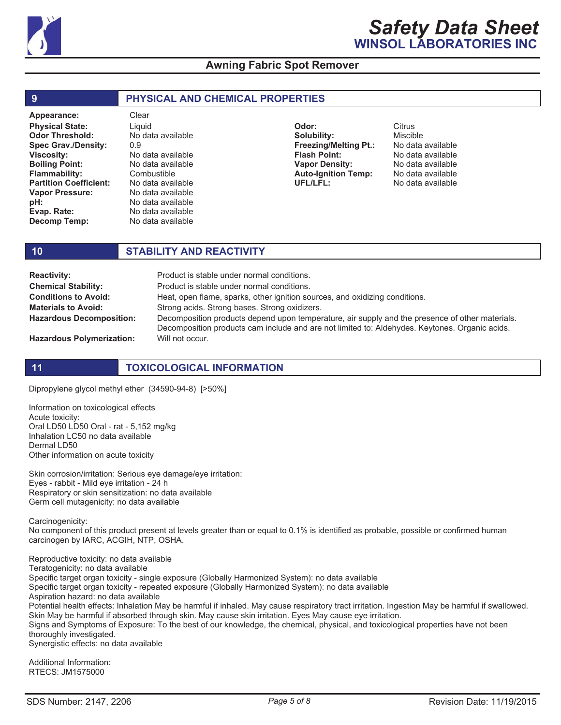

| 9                             | <b>PHYSICAL AND CHEMICAL PROPERTIES</b> |                              |                   |  |
|-------------------------------|-----------------------------------------|------------------------------|-------------------|--|
| Appearance:                   | Clear                                   |                              |                   |  |
| <b>Physical State:</b>        | Liauid                                  | Odor:                        | Citrus            |  |
| <b>Odor Threshold:</b>        | No data available                       | Solubility:                  | <b>Miscible</b>   |  |
| <b>Spec Grav./Density:</b>    | 0.9                                     | <b>Freezing/Melting Pt.:</b> | No data available |  |
| <b>Viscosity:</b>             | No data available                       | <b>Flash Point:</b>          | No data available |  |
| <b>Boiling Point:</b>         | No data available                       | <b>Vapor Density:</b>        | No data available |  |
| <b>Flammability:</b>          | Combustible                             | <b>Auto-Ignition Temp:</b>   | No data available |  |
| <b>Partition Coefficient:</b> | No data available                       | UFL/LFL:                     | No data available |  |
| <b>Vapor Pressure:</b>        | No data available                       |                              |                   |  |
| pH:                           | No data available                       |                              |                   |  |

**Evap. Rate: Decomp Temp:**

# **10 STABILITY AND REACTIVITY**

No data available No data available

| <b>Reactivity:</b>               | Product is stable under normal conditions.                                                                                                                                                        |  |  |
|----------------------------------|---------------------------------------------------------------------------------------------------------------------------------------------------------------------------------------------------|--|--|
| <b>Chemical Stability:</b>       | Product is stable under normal conditions.                                                                                                                                                        |  |  |
| <b>Conditions to Avoid:</b>      | Heat, open flame, sparks, other ignition sources, and oxidizing conditions.                                                                                                                       |  |  |
| <b>Materials to Avoid:</b>       | Strong acids. Strong bases. Strong oxidizers.                                                                                                                                                     |  |  |
| <b>Hazardous Decomposition:</b>  | Decomposition products depend upon temperature, air supply and the presence of other materials.<br>Decomposition products cam include and are not limited to: Aldehydes. Keytones. Organic acids. |  |  |
| <b>Hazardous Polymerization:</b> | Will not occur.                                                                                                                                                                                   |  |  |

**Hazardous Polymerization:**

# **11 TOXICOLOGICAL INFORMATION**

Dipropylene glycol methyl ether (34590-94-8) [>50%]

Information on toxicological effects Acute toxicity: Oral LD50 LD50 Oral - rat - 5,152 mg/kg Inhalation LC50 no data available Dermal LD50 Other information on acute toxicity

Skin corrosion/irritation: Serious eye damage/eye irritation: Eyes - rabbit - Mild eye irritation - 24 h Respiratory or skin sensitization: no data available Germ cell mutagenicity: no data available

Carcinogenicity:

No component of this product present at levels greater than or equal to 0.1% is identified as probable, possible or confirmed human carcinogen by IARC, ACGIH, NTP, OSHA.

Reproductive toxicity: no data available Teratogenicity: no data available Specific target organ toxicity - single exposure (Globally Harmonized System): no data available Specific target organ toxicity - repeated exposure (Globally Harmonized System): no data available Aspiration hazard: no data available Potential health effects: Inhalation May be harmful if inhaled. May cause respiratory tract irritation. Ingestion May be harmful if swallowed. Skin May be harmful if absorbed through skin. May cause skin irritation. Eyes May cause eye irritation. Signs and Symptoms of Exposure: To the best of our knowledge, the chemical, physical, and toxicological properties have not been thoroughly investigated. Synergistic effects: no data available

Additional Information: RTECS: JM1575000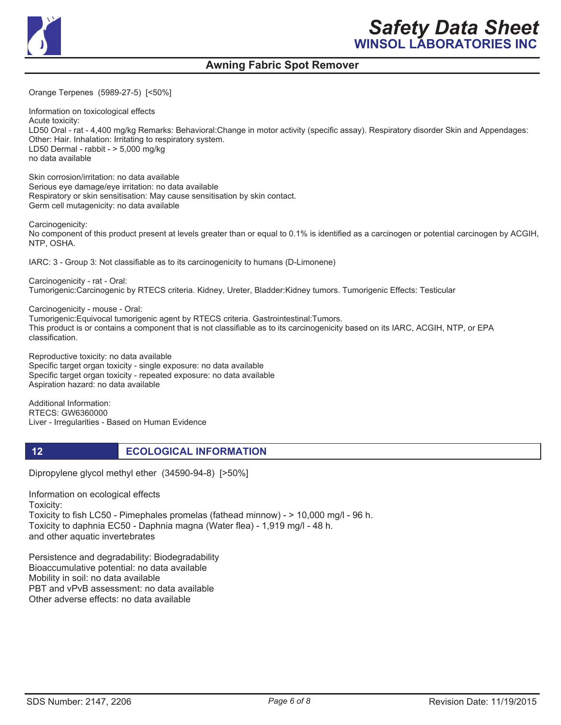

Orange Terpenes (5989-27-5) [<50%]

Information on toxicological effects Acute toxicity: LD50 Oral - rat - 4,400 mg/kg Remarks: Behavioral:Change in motor activity (specific assay). Respiratory disorder Skin and Appendages: Other: Hair. Inhalation: Irritating to respiratory system. LD50 Dermal - rabbit - > 5,000 mg/kg no data available

Skin corrosion/irritation: no data available Serious eye damage/eye irritation: no data available Respiratory or skin sensitisation: May cause sensitisation by skin contact. Germ cell mutagenicity: no data available

Carcinogenicity: No component of this product present at levels greater than or equal to 0.1% is identified as a carcinogen or potential carcinogen by ACGIH, NTP, OSHA.

IARC: 3 - Group 3: Not classifiable as to its carcinogenicity to humans (D-Limonene)

Carcinogenicity - rat - Oral: Tumorigenic:Carcinogenic by RTECS criteria. Kidney, Ureter, Bladder:Kidney tumors. Tumorigenic Effects: Testicular

Carcinogenicity - mouse - Oral:

Tumorigenic:Equivocal tumorigenic agent by RTECS criteria. Gastrointestinal:Tumors. This product is or contains a component that is not classifiable as to its carcinogenicity based on its IARC, ACGIH, NTP, or EPA classification.

Reproductive toxicity: no data available Specific target organ toxicity - single exposure: no data available Specific target organ toxicity - repeated exposure: no data available Aspiration hazard: no data available

Additional Information: RTECS: GW6360000 Liver - Irregularities - Based on Human Evidence

**12 ECOLOGICAL INFORMATION** 

Dipropylene glycol methyl ether (34590-94-8) [>50%]

Information on ecological effects Toxicity: Toxicity to fish LC50 - Pimephales promelas (fathead minnow) - > 10,000 mg/l - 96 h. Toxicity to daphnia EC50 - Daphnia magna (Water flea) - 1,919 mg/l - 48 h. and other aquatic invertebrates

Persistence and degradability: Biodegradability Bioaccumulative potential: no data available Mobility in soil: no data available PBT and vPvB assessment: no data available Other adverse effects: no data available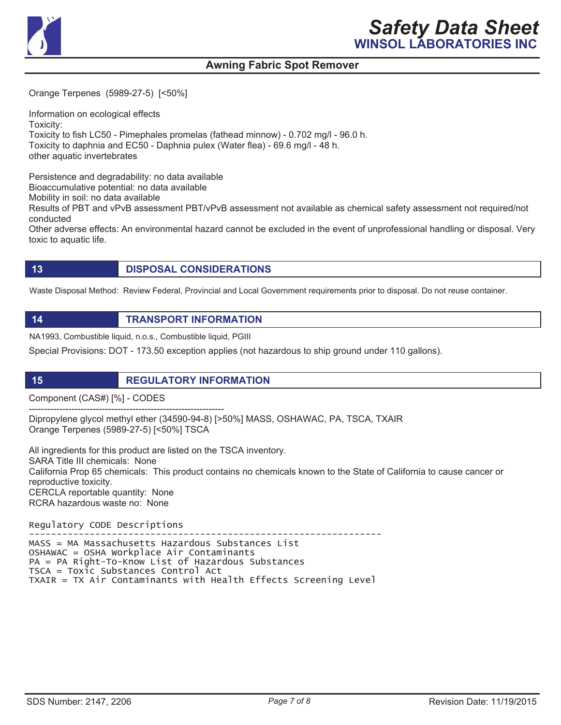

Orange Terpenes (5989-27-5) [<50%]

Information on ecological effects Toxicity: Toxicity to fish LC50 - Pimephales promelas (fathead minnow) - 0.702 mg/l - 96.0 h. Toxicity to daphnia and EC50 - Daphnia pulex (Water flea) - 69.6 mg/l - 48 h. other aquatic invertebrates

Persistence and degradability: no data available Bioaccumulative potential: no data available

Mobility in soil: no data available

Results of PBT and vPvB assessment PBT/vPvB assessment not available as chemical safety assessment not required/not conducted

Other adverse effects: An environmental hazard cannot be excluded in the event of unprofessional handling or disposal. Very toxic to aquatic life.

**13 DISPOSAL CONSIDERATIONS**

Waste Disposal Method: Review Federal, Provincial and Local Government requirements prior to disposal. Do not reuse container.

**14 TRANSPORT INFORMATION**

NA1993, Combustible liquid, n.o.s., Combustible liquid, PGIII

Special Provisions: DOT - 173.50 exception applies (not hazardous to ship ground under 110 gallons).

**15 REGULATORY INFORMATION**

Component (CAS#) [%] - CODES

---------------------------------------------------------------- Dipropylene glycol methyl ether (34590-94-8) [>50%] MASS, OSHAWAC, PA, TSCA, TXAIR Orange Terpenes (5989-27-5) [<50%] TSCA

All ingredients for this product are listed on the TSCA inventory. SARA Title III chemicals: None California Prop 65 chemicals: This product contains no chemicals known to the State of California to cause cancer or reproductive toxicity. CERCLA reportable quantity: None RCRA hazardous waste no: None

Regulatory CODE Descriptions

 MASS = MA Massachusetts Hazardous Substances List  $OSHAWAC = OSHA Workplace Air Contaminants$  $PA = PA$  Right-To-Know List of Hazardous Substances  $TSCA = Toxic Substances Control Act$  $TXAIR = TX Air Contaminants with Health Effects Screening Level$